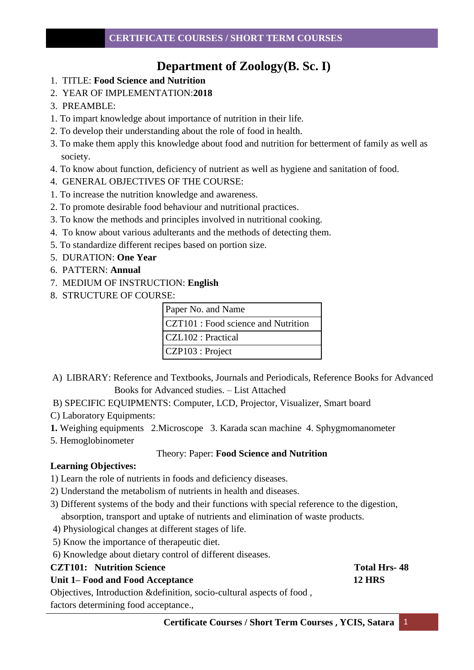# **Department of Zoology(B. Sc. I)**

- 1. TITLE: **Food Science and Nutrition**
- 2. YEAR OF IMPLEMENTATION:**2018**
- 3. PREAMBLE:
- 1. To impart knowledge about importance of nutrition in their life.
- 2. To develop their understanding about the role of food in health.
- 3. To make them apply this knowledge about food and nutrition for betterment of family as well as society.
- 4. To know about function, deficiency of nutrient as well as hygiene and sanitation of food.
- 4. GENERAL OBJECTIVES OF THE COURSE:
- 1. To increase the nutrition knowledge and awareness.
- 2. To promote desirable food behaviour and nutritional practices.
- 3. To know the methods and principles involved in nutritional cooking.
- 4. To know about various adulterants and the methods of detecting them.
- 5. To standardize different recipes based on portion size.
- 5. DURATION: **One Year**
- 6. PATTERN: **Annual**
- 7. MEDIUM OF INSTRUCTION: **English**
- 8. STRUCTURE OF COURSE:

| Paper No. and Name                  |
|-------------------------------------|
| CZT101 : Food science and Nutrition |
| CZL102 : Practical                  |
| CZP103 : Project                    |

- A) LIBRARY: Reference and Textbooks, Journals and Periodicals, Reference Books for Advanced Books for Advanced studies. – List Attached
- B) SPECIFIC EQUIPMENTS: Computer, LCD, Projector, Visualizer, Smart board
- C) Laboratory Equipments:
- **1.** Weighing equipments 2.Microscope 3. Karada scan machine 4. Sphygmomanometer
- 5. Hemoglobinometer

# Theory: Paper: **Food Science and Nutrition**

# **Learning Objectives:**

- 1) Learn the role of nutrients in foods and deficiency diseases.
- 2) Understand the metabolism of nutrients in health and diseases.
- 3) Different systems of the body and their functions with special reference to the digestion, absorption, transport and uptake of nutrients and elimination of waste products.
- 4) Physiological changes at different stages of life.
- 5) Know the importance of therapeutic diet.
- 6) Knowledge about dietary control of different diseases.

# **CZT101:** Nutrition Science **Total Hrs- 48**

# Unit 1–Food and Food Acceptance 12 HRS

Objectives, Introduction &definition, socio-cultural aspects of food ,

factors determining food acceptance.,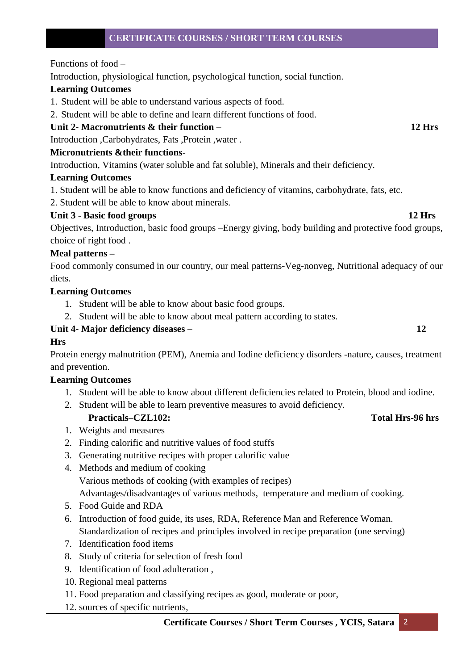Functions of food –

Introduction, physiological function, psychological function, social function.

### **Learning Outcomes**

- 1. Student will be able to understand various aspects of food.
- 2. Student will be able to define and learn different functions of food.

# **Unit 2- Macronutrients & their function – 12 Hrs**

Introduction ,Carbohydrates, Fats ,Protein ,water .

### **Micronutrients &their functions-**

Introduction, Vitamins (water soluble and fat soluble), Minerals and their deficiency.

### **Learning Outcomes**

1. Student will be able to know functions and deficiency of vitamins, carbohydrate, fats, etc.

2. Student will be able to know about minerals.

### **Unit 3 - Basic food groups 12 Hrs**

Objectives, Introduction, basic food groups –Energy giving, body building and protective food groups, choice of right food .

### **Meal patterns –**

Food commonly consumed in our country, our meal patterns-Veg-nonveg, Nutritional adequacy of our diets.

### **Learning Outcomes**

- 1. Student will be able to know about basic food groups.
- 2. Student will be able to know about meal pattern according to states.

# **Unit 4**- **Major deficiency diseases – 12**

# **Hrs**

Protein energy malnutrition (PEM), Anemia and Iodine deficiency disorders -nature, causes, treatment and prevention.

# **Learning Outcomes**

- 1. Student will be able to know about different deficiencies related to Protein, blood and iodine.
- 2. Student will be able to learn preventive measures to avoid deficiency.

# Practicals–CZL102: Total Hrs-96 hrs

- 1. Weights and measures
- 2. Finding calorific and nutritive values of food stuffs
- 3. Generating nutritive recipes with proper calorific value
- 4. Methods and medium of cooking Various methods of cooking (with examples of recipes)

Advantages/disadvantages of various methods, temperature and medium of cooking.

- 5. Food Guide and RDA
- 6. Introduction of food guide, its uses, RDA, Reference Man and Reference Woman. Standardization of recipes and principles involved in recipe preparation (one serving)
- 7. Identification food items
- 8. Study of criteria for selection of fresh food
- 9. Identification of food adulteration ,
- 10. Regional meal patterns
- 11. Food preparation and classifying recipes as good, moderate or poor,
- 12. sources of specific nutrients,